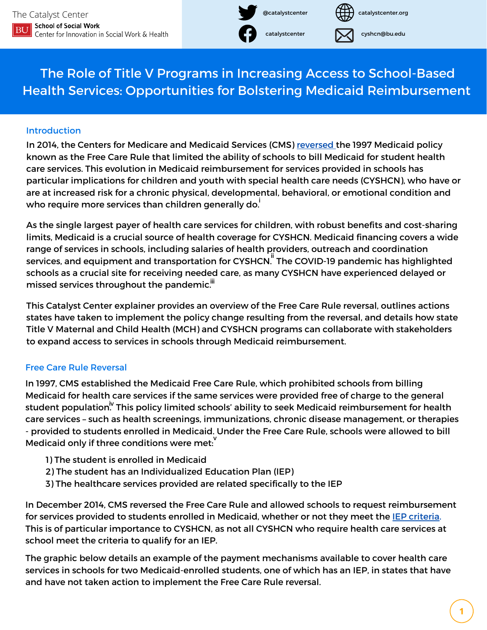

catalystcenter.org

cyshcn@bu.edu

The Role of Title V Programs in Increasing Access to School-Based Health Services: Opportunities for Bolstering Medicaid Reimbursement

## **Introduction**

In 2014, the Centers for Medicare and Medicaid Services (CMS) [reversed](https://www.medicaid.gov/federal-policy-guidance/downloads/smd-medicaid-payment-for-services-provided-without-charge-free-care.pdf) the 1997 Medicaid policy known as the Free Care Rule that limited the ability of schools to bill Medicaid for student health care services. This evolution in Medicaid reimbursement for services provided in schools has particular implications for children and youth with special health care needs (CYSHCN), who have or are at increased risk for a chronic physical, developmental, behavioral, or emotional condition and who require more services than children generally do. $\dot{\bar{}}$ 

As the single largest payer of health care services for children, with robust benefits and cost-sharing limits, Medicaid is a crucial source of health coverage for CYSHCN. Medicaid financing covers a wide range of services in schools, including salaries of health providers, outreach and coordination services, and equipment and transportation for CYSHCN. The COVID-19 pandemic has highlighted schools as a crucial site for receiving needed care, as many CYSHCN have experienced delayed or missed services throughout the pandemic. $^{\text{iii}}$ 

This Catalyst Center explainer provides an overview of the Free Care Rule reversal, outlines actions states have taken to implement the policy change resulting from the reversal, and details how state Title V Maternal and Child Health (MCH) and CYSHCN programs can collaborate with stakeholders to expand access to services in schools through Medicaid reimbursement.

## Free Care Rule Reversal

In 1997, CMS established the Medicaid Free Care Rule, which prohibited schools from billing Medicaid for health care services if the same services were provided free of charge to the general student population<sup>iv</sup> This policy limited schools' ability to seek Medicaid reimbursement for health care services – such as health screenings, immunizations, chronic disease management, or therapies - provided to students enrolled in Medicaid. Under the Free Care Rule, schools were allowed to bill  $\stackrel{\cdot}{\cdot}$  Medicaid only if three conditions were met:  $\stackrel{\cdot}{\cdot}$ 

- 1) The student is enrolled in Medicaid
- 2) The student has an Individualized Education Plan (IEP)
- 3) The healthcare services provided are related specifically to the IEP

In December 2014, CMS reversed the Free Care Rule and allowed schools to request reimbursement for services provided to students enrolled in Medicaid, whether or not they meet the IEP [criteria.](https://sites.ed.gov/idea/statute-chapter-33/subchapter-ii/1414) This is of particular importance to CYSHCN, as not all CYSHCN who require health care services at school meet the criteria to qualify for an IEP.

The graphic below details an example of the payment mechanisms available to cover health care services in schools for two Medicaid-enrolled students, one of which has an IEP, in states that have and have not taken action to implement the Free Care Rule reversal.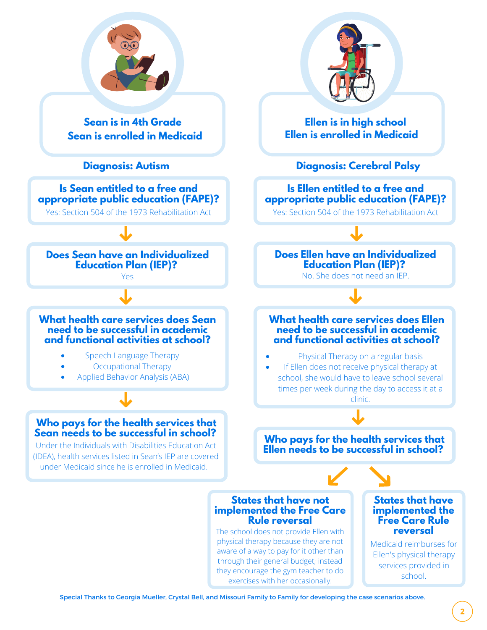

Special Thanks to Georgia Mueller, Crystal Bell, and Missouri Family to Family for developing the case scenarios above.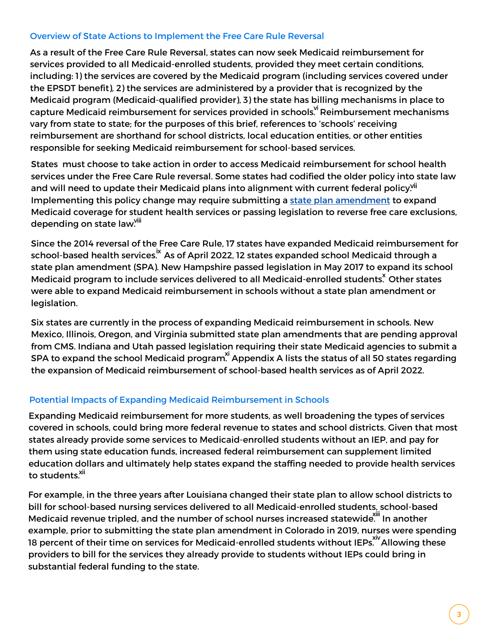#### Overview of State Actions to Implement the Free Care Rule Reversal

As a result of the Free Care Rule Reversal, states can now seek Medicaid reimbursement for services provided to all Medicaid-enrolled students, provided they meet certain conditions, including: 1) the services are covered by the Medicaid program (including services covered under the EPSDT benefit), 2) the services are administered by a provider that is recognized by the Medicaid program (Medicaid-qualified provider), 3) the state has billing mechanisms in place to capture Medicaid reimbursement for services provided in schools.<sup>vi</sup> Reimbursement mechanisms vary from state to state; for the purposes of this brief, references to 'schools' receiving reimbursement are shorthand for school districts, local education entities, or other entities responsible for seeking Medicaid reimbursement for school-based services.

States must choose to take action in order to access Medicaid reimbursement for school health services under the Free Care Rule reversal. Some states had codified the older policy into state law and will need to update their Medicaid plans into alignment with current federal policy.<sup>vii</sup> Implementing this policy change may require submitting a state plan [amendment](https://ciswh.org/projects/the-catalyst-center/glossary/#S) to expand Medicaid coverage for student health services or passing legislation to reverse free care exclusions, depending on state law.<sup>viii</sup>

Since the 2014 reversal of the Free Care Rule, 17 states have expanded Medicaid reimbursement for school-based health services.<sup>ix</sup> As of April 2022, 12 states expanded school Medicaid through a state plan amendment (SPA). New Hampshire passed legislation in May 2017 to expand its school Medicaid program to include services delivered to all Medicaid-enrolled students. Other states were able to expand Medicaid reimbursement in schools without a state plan amendment or legislation.

Six states are currently in the process of expanding Medicaid reimbursement in schools. New Mexico, Illinois, Oregon, and Virginia submitted state plan amendments that are pending approval from CMS. Indiana and Utah passed legislation requiring their state Medicaid agencies to submit a SPA to expand the school Medicaid program. Appendix A lists the status of all 50 states regarding the expansion of Medicaid reimbursement of school-based health services as of April 2022.

#### Potential Impacts of Expanding Medicaid Reimbursement in Schools

Expanding Medicaid reimbursement for more students, as well broadening the types of services covered in schools, could bring more federal revenue to states and school districts. Given that most states already provide some services to Medicaid-enrolled students without an IEP, and pay for them using state education funds, increased federal reimbursement can supplement limited education dollars and ultimately help states expand the staffing needed to provide health services to students.<sup>xii</sup>

For example, in the three years after Louisiana changed their state plan to allow school districts to bill for school-based nursing services delivered to all Medicaid-enrolled students, school-based Medicaid revenue tripled, and the number of school nurses increased statewide. In another example, prior to submitting the state plan amendment in Colorado in 2019, nurses were spending 18 percent of their time on services for Medicaid-enrolled students without IEPs. Allowing these providers to bill for the services they already provide to students without IEPs could bring in substantial federal funding to the state.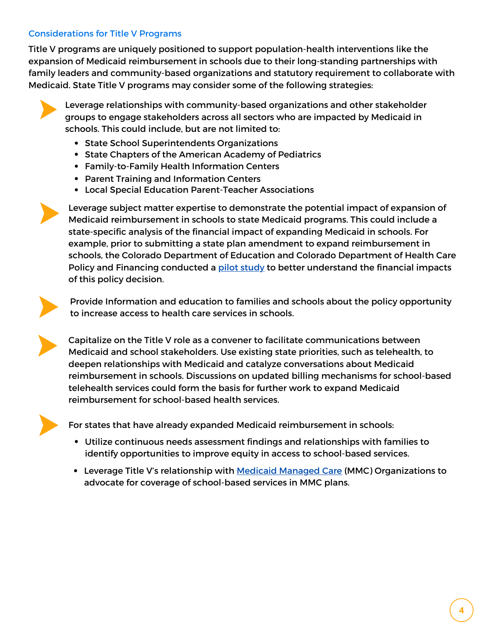### Considerations for Title V Programs

Title V programs are uniquely positioned to support population-health interventions like the expansion of Medicaid reimbursement in schools due to their long-standing partnerships with family leaders and community-based organizations and statutory requirement to collaborate with Medicaid. State Title V programs may consider some of the following strategies:



Leverage relationships with community-based organizations and other stakeholder groups to engage stakeholders across all sectors who are impacted by Medicaid in schools. This could include, but are not limited to:

- State School Superintendents Organizations
- State Chapters of the American Academy of Pediatrics
- Family-to-Family Health Information Centers
- Parent Training and Information Centers
- Local Special Education Parent-Teacher Associations



Leverage subject matter expertise to demonstrate the potential impact of expansion of Medicaid reimbursement in schools to state Medicaid programs. This could include a state-specific analysis of the financial impact of expanding Medicaid in schools. For example, prior to submitting a state plan amendment to expand reimbursement in schools, the Colorado Department of Education and Colorado Department of Health Care Policy and Financing conducted a pilot [study](https://healthyschoolscampaign.org/dev/wp-content/uploads/2020/08/Colorado-RMTS-Case-Study-August-2020-HSPF.pdf) to better understand the financial impacts of this policy decision.



Provide Information and education to families and schools about the policy opportunity to increase access to health care services in schools.



Capitalize on the Title V role as a convener to facilitate communications between Medicaid and school stakeholders. Use existing state priorities, such as telehealth, to deepen relationships with Medicaid and catalyze conversations about Medicaid reimbursement in schools. Discussions on updated billing mechanisms for school-based telehealth services could form the basis for further work to expand Medicaid reimbursement for school-based health services.



For states that have already expanded Medicaid reimbursement in schools:

- Utilize continuous needs assessment findings and relationships with families to identify opportunities to improve equity in access to school-based services.
- Leverage Title V's relationship with Medicaid [Managed](https://ciswh.org/resources/strengthening-title-v-mmc-collaborations/) Care (MMC) Organizations to advocate for coverage of school-based services in MMC plans.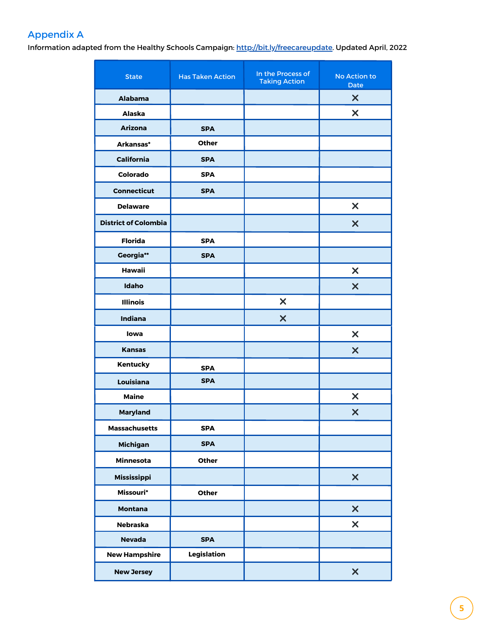# Appendix A

Information adapted from the Healthy Schools Campaign: <http://bit.ly/freecareupdate>. Updated April, 2022

| <b>State</b>                | <b>Has Taken Action</b> | In the Process of<br><b>Taking Action</b> | No Action to<br><b>Date</b> |
|-----------------------------|-------------------------|-------------------------------------------|-----------------------------|
| <b>Alabama</b>              |                         |                                           | $\boldsymbol{\mathsf{X}}$   |
| <b>Alaska</b>               |                         |                                           | $\boldsymbol{\mathsf{X}}$   |
| <b>Arizona</b>              | <b>SPA</b>              |                                           |                             |
| Arkansas*                   | <b>Other</b>            |                                           |                             |
| <b>California</b>           | <b>SPA</b>              |                                           |                             |
| Colorado                    | <b>SPA</b>              |                                           |                             |
| <b>Connecticut</b>          | <b>SPA</b>              |                                           |                             |
| <b>Delaware</b>             |                         |                                           | $\boldsymbol{\mathsf{x}}$   |
| <b>District of Colombia</b> |                         |                                           | $\boldsymbol{\mathsf{X}}$   |
| <b>Florida</b>              | <b>SPA</b>              |                                           |                             |
| Georgia**                   | <b>SPA</b>              |                                           |                             |
| <b>Hawaii</b>               |                         |                                           | $\boldsymbol{\mathsf{x}}$   |
| <b>Idaho</b>                |                         |                                           | $\boldsymbol{\mathsf{X}}$   |
| <b>Illinois</b>             |                         | $\boldsymbol{\mathsf{x}}$                 |                             |
| Indiana                     |                         | $\boldsymbol{\mathsf{X}}$                 |                             |
| lowa                        |                         |                                           | $\boldsymbol{\mathsf{x}}$   |
| <b>Kansas</b>               |                         |                                           | $\boldsymbol{\mathsf{X}}$   |
| Kentucky                    | <b>SPA</b>              |                                           |                             |
| Louisiana                   | <b>SPA</b>              |                                           |                             |
| <b>Maine</b>                |                         |                                           | $\boldsymbol{\mathsf{X}}$   |
| <b>Maryland</b>             |                         |                                           | $\boldsymbol{\mathsf{x}}$   |
| <b>Massachusetts</b>        | <b>SPA</b>              |                                           |                             |
| <b>Michigan</b>             | <b>SPA</b>              |                                           |                             |
| Minnesota                   | Other                   |                                           |                             |
| Mississippi                 |                         |                                           | $\boldsymbol{\mathsf{x}}$   |
| Missouri*                   | Other                   |                                           |                             |
| <b>Montana</b>              |                         |                                           | $\boldsymbol{\mathsf{x}}$   |
| <b>Nebraska</b>             |                         |                                           | $\boldsymbol{\mathsf{x}}$   |
| <b>Nevada</b>               | <b>SPA</b>              |                                           |                             |
| <b>New Hampshire</b>        | Legislation             |                                           |                             |
| <b>New Jersey</b>           |                         |                                           | $\boldsymbol{\mathsf{x}}$   |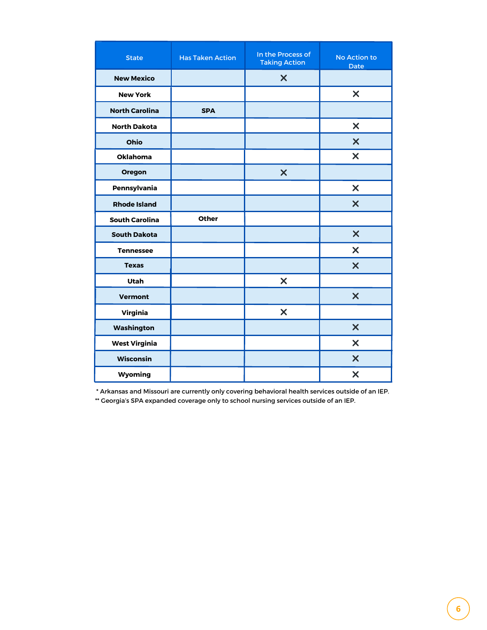| <b>State</b>          | <b>Has Taken Action</b> | In the Process of<br><b>Taking Action</b> | No Action to<br><b>Date</b> |
|-----------------------|-------------------------|-------------------------------------------|-----------------------------|
| <b>New Mexico</b>     |                         | $\boldsymbol{\mathsf{x}}$                 |                             |
| <b>New York</b>       |                         |                                           | $\boldsymbol{\mathsf{X}}$   |
| <b>North Carolina</b> | <b>SPA</b>              |                                           |                             |
| <b>North Dakota</b>   |                         |                                           | $\boldsymbol{\mathsf{x}}$   |
| Ohio                  |                         |                                           | $\boldsymbol{\mathsf{x}}$   |
| <b>Oklahoma</b>       |                         |                                           | $\boldsymbol{\mathsf{x}}$   |
| Oregon                |                         | $\boldsymbol{\mathsf{x}}$                 |                             |
| Pennsylvania          |                         |                                           | $\boldsymbol{\mathsf{x}}$   |
| <b>Rhode Island</b>   |                         |                                           | $\boldsymbol{\mathsf{X}}$   |
| <b>South Carolina</b> | Other                   |                                           |                             |
| <b>South Dakota</b>   |                         |                                           | $\boldsymbol{\mathsf{x}}$   |
| <b>Tennessee</b>      |                         |                                           | $\boldsymbol{\mathsf{X}}$   |
| <b>Texas</b>          |                         |                                           | $\boldsymbol{\mathsf{x}}$   |
| <b>Utah</b>           |                         | $\boldsymbol{\mathsf{X}}$                 |                             |
| <b>Vermont</b>        |                         |                                           | $\boldsymbol{\mathsf{x}}$   |
| <b>Virginia</b>       |                         | $\boldsymbol{\mathsf{x}}$                 |                             |
| Washington            |                         |                                           | $\boldsymbol{\mathsf{x}}$   |
| <b>West Virginia</b>  |                         |                                           | $\boldsymbol{\mathsf{x}}$   |
| <b>Wisconsin</b>      |                         |                                           | $\boldsymbol{\mathsf{X}}$   |
| Wyoming               |                         |                                           | $\boldsymbol{\mathsf{x}}$   |

\* Arkansas and Missouri are currently only covering behavioral health services outside of an IEP.

\*\* Georgia's SPA expanded coverage only to school nursing services outside of an IEP.